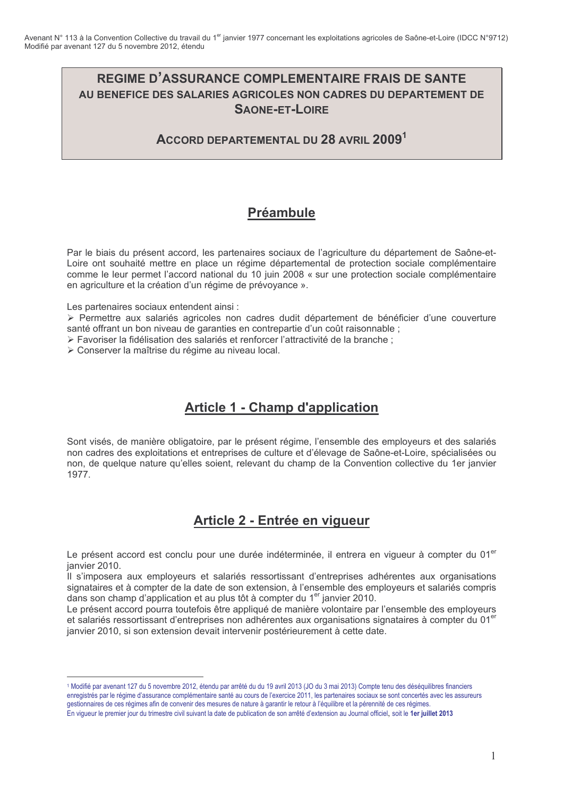## **REGIME D'ASSURANCE COMPLEMENTAIRE FRAIS DE SANTE** AU BENEFICE DES SALARIES AGRICOLES NON CADRES DU DEPARTEMENT DE **SAONE-ET-LOIRE**

ACCORD DEPARTEMENTAL DU 28 AVRIL 2009<sup>1</sup>

# **Préambule**

Par le biais du présent accord, les partenaires sociaux de l'agriculture du département de Saône-et-Loire ont souhaité mettre en place un régime départemental de protection sociale complémentaire comme le leur permet l'accord national du 10 juin 2008 « sur une protection sociale complémentaire en agriculture et la création d'un régime de prévoyance ».

Les partenaires sociaux entendent ainsi :

> Permettre aux salariés agricoles non cadres dudit département de bénéficier d'une couverture santé offrant un bon niveau de garanties en contrepartie d'un coût raisonnable :

≻ Favoriser la fidélisation des salariés et renforcer l'attractivité de la branche :

> Conserver la maîtrise du régime au niveau local.

# **Article 1 - Champ d'application**

Sont visés, de manière obligatoire, par le présent régime, l'ensemble des employeurs et des salariés non cadres des exploitations et entreprises de culture et d'élevage de Saône-et-Loire, spécialisées ou non, de quelque nature qu'elles soient, relevant du champ de la Convention collective du 1er janvier 1977.

# Article 2 - Entrée en vigueur

Le présent accord est conclu pour une durée indéterminée, il entrera en vigueur à compter du 01<sup>er</sup> ianvier 2010.

Il s'imposera aux employeurs et salariés ressortissant d'entreprises adhérentes aux organisations signataires et à compter de la date de son extension, à l'ensemble des employeurs et salariés compris dans son champ d'application et au plus tôt à compter du 1<sup>er</sup> janvier 2010.<br>Le présent accord pourra toutefois être appliqué de manière volontaire par l'ensemble des employeurs

et salariés ressortissant d'entreprises non adhérentes aux organisations signataires à compter du 01<sup>er</sup> janvier 2010, si son extension devait intervenir postérieurement à cette date.

<sup>1</sup> Modifié par avenant 127 du 5 novembre 2012, étendu par arrêté du du 19 avril 2013 (JO du 3 mai 2013) Compte tenu des déséquilibres financiers enregistrés par le régime d'assurance complémentaire santé au cours de l'exercice 2011, les partenaires sociaux se sont concertés avec les assureurs gestionnaires de ces régimes afin de convenir des mesures de nature à garantir le retour à l'équilibre et la pérennité de ces régimes. En vigueur le premier jour du trimestre civil suivant la date de publication de son arrêté d'extension au Journal officiel, soit le 1er juillet 2013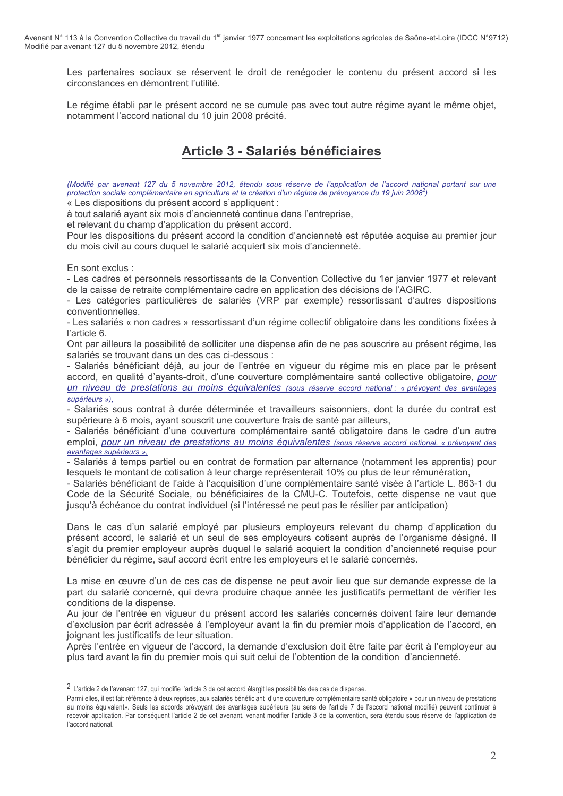Les partenaires sociaux se réservent le droit de renégocier le contenu du présent accord si les circonstances en démontrent l'utilité

Le régime établi par le présent accord ne se cumule pas avec tout autre régime ayant le même objet, notamment l'accord national du 10 juin 2008 précité.

## **Article 3 - Salariés bénéficiaires**

(Modifié par avenant 127 du 5 novembre 2012, étendu sous réserve de l'application de l'accord national portant sur une protection sociale complémentaire en agriculture et la création d'un régime de prévoyance du 19 juin 2008<sup>2</sup>) « Les dispositions du présent accord s'appliquent :

à tout salarié avant six mois d'ancienneté continue dans l'entreprise.

et relevant du champ d'application du présent accord.

Pour les dispositions du présent accord la condition d'ancienneté est réputée acquise au premier jour du mois civil au cours duquel le salarié acquiert six mois d'ancienneté.

En sont exclus :

- Les cadres et personnels ressortissants de la Convention Collective du 1er janvier 1977 et relevant de la caisse de retraite complémentaire cadre en application des décisions de l'AGIRC.

- Les catégories particulières de salariés (VRP par exemple) ressortissant d'autres dispositions conventionnelles.

- Les salariés « non cadres » ressortissant d'un régime collectif obligatoire dans les conditions fixées à l'article 6.

Ont par ailleurs la possibilité de solliciter une dispense afin de ne pas souscrire au présent régime, les salariés se trouvant dans un des cas ci-dessous :

- Salariés bénéficiant déjà, au jour de l'entrée en vigueur du régime mis en place par le présent accord, en qualité d'avants-droit, d'une couverture complémentaire santé collective obligatoire, pour un niveau de prestations au moins équivalentes (sous réserve accord national : « prévoyant des avantages supérieurs »),

- Salariés sous contrat à durée déterminée et travailleurs saisonniers, dont la durée du contrat est supérieure à 6 mois, ayant souscrit une couverture frais de santé par ailleurs,

- Salariés bénéficiant d'une couverture complémentaire santé obligatoire dans le cadre d'un autre emploi, pour un niveau de prestations au moins équivalentes (sous réserve accord national, « prévovant des avantages supérieurs »,

- Salariés à temps partiel ou en contrat de formation par alternance (notamment les apprentis) pour lesquels le montant de cotisation à leur charge représenterait 10% ou plus de leur rémunération.

- Salariés bénéficiant de l'aide à l'acquisition d'une complémentaire santé visée à l'article L. 863-1 du Code de la Sécurité Sociale, ou bénéficiaires de la CMU-C. Toutefois, cette dispense ne vaut que jusqu'à échéance du contrat individuel (si l'intéressé ne peut pas le résilier par anticipation)

Dans le cas d'un salarié employé par plusieurs employeurs relevant du champ d'application du présent accord. le salarié et un seul de ses employeurs cotisent auprès de l'organisme désigné. Il s'agit du premier employeur auprès duquel le salarié acquiert la condition d'ancienneté requise pour bénéficier du régime, sauf accord écrit entre les employeurs et le salarié concernés.

La mise en œuvre d'un de ces cas de dispense ne peut avoir lieu que sur demande expresse de la part du salarié concerné, qui devra produire chaque année les justificatifs permettant de vérifier les conditions de la dispense.

Au jour de l'entrée en vigueur du présent accord les salariés concernés doivent faire leur demande d'exclusion par écrit adressée à l'employeur avant la fin du premier mois d'application de l'accord, en joignant les justificatifs de leur situation.

Après l'entrée en vigueur de l'accord, la demande d'exclusion doit être faite par écrit à l'employeur au plus tard avant la fin du premier mois qui suit celui de l'obtention de la condition d'ancienneté.

<sup>2</sup> L'article 2 de l'avenant 127, qui modifie l'article 3 de cet accord élargit les possibilités des cas de dispense.

Parmi elles, il est fait référence à deux reprises, aux salariés bénéficiant d'une couverture complémentaire santé obligatoire « pour un niveau de prestations au moins équivalent». Seuls les accords prévoyant des avantages supérieurs (au sens de l'article 7 de l'accord national modifié) peuvent continuer à recevoir application. Par conséquent l'article 2 de cet avenant, venant modifier l'article 3 de la convention, sera étendu sous réserve de l'application de l'accord national.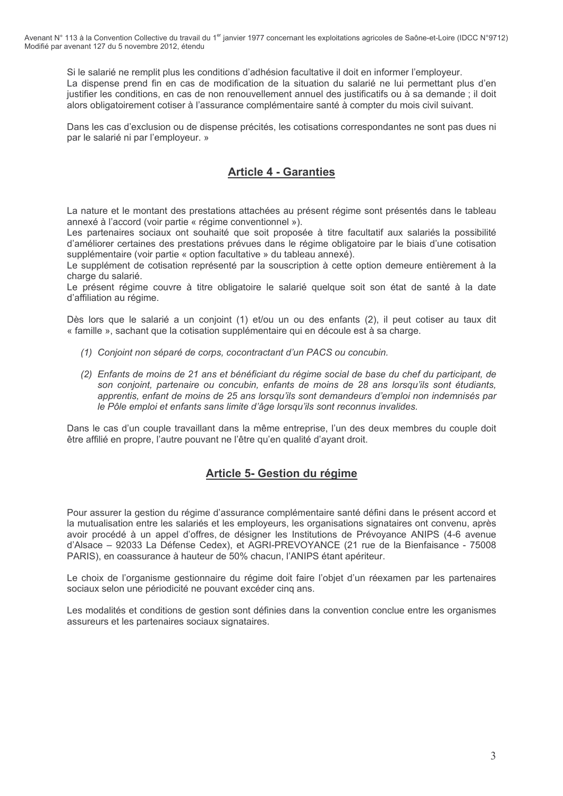Si le salarié ne remplit plus les conditions d'adhésion facultative il doit en informer l'employeur. La dispense prend fin en cas de modification de la situation du salarié ne lui permettant plus d'en justifier les conditions, en cas de non renouvellement annuel des justificatifs ou à sa demande ; il doit alors obligatoirement cotiser à l'assurance complémentaire santé à compter du mois civil suivant.

Dans les cas d'exclusion ou de dispense précités, les cotisations correspondantes ne sont pas dues ni par le salarié ni par l'employeur. »

## **Article 4 - Garanties**

La nature et le montant des prestations attachées au présent régime sont présentés dans le tableau annexé à l'accord (voir partie « régime conventionnel »).

Les partenaires sociaux ont souhaité que soit proposée à titre facultatif aux salariés la possibilité d'améliorer certaines des prestations prévues dans le régime obligatoire par le biais d'une cotisation supplémentaire (voir partie « option facultative » du tableau annexé).

Le supplément de cotisation représenté par la souscription à cette option demeure entièrement à la charge du salarié.

Le présent régime couvre à titre obligatoire le salarié quelque soit son état de santé à la date d'affiliation au régime.

Dès lors que le salarié a un conjoint (1) et/ou un ou des enfants (2), il peut cotiser au taux dit « famille », sachant que la cotisation supplémentaire qui en découle est à sa charge.

- (1) Conjoint non séparé de corps, cocontractant d'un PACS ou concubin.
- (2) Enfants de moins de 21 ans et bénéficiant du régime social de base du chef du participant, de son conjoint, partenaire ou concubin, enfants de moins de 28 ans lorsqu'ils sont étudiants. apprentis, enfant de moins de 25 ans lorsqu'ils sont demandeurs d'emploi non indemnisés par le Pôle emploi et enfants sans limite d'âge lorsqu'ils sont reconnus invalides.

Dans le cas d'un couple travaillant dans la même entreprise, l'un des deux membres du couple doit être affilié en propre, l'autre pouvant ne l'être qu'en qualité d'ayant droit.

## Article 5- Gestion du régime

Pour assurer la gestion du régime d'assurance complémentaire santé défini dans le présent accord et la mutualisation entre les salariés et les employeurs, les organisations signataires ont convenu, après avoir procédé à un appel d'offres, de désigner les Institutions de Prévoyance ANIPS (4-6 avenue d'Alsace - 92033 La Défense Cedex), et AGRI-PREVOYANCE (21 rue de la Bienfaisance - 75008 PARIS), en coassurance à hauteur de 50% chacun. l'ANIPS étant apériteur.

Le choix de l'organisme gestionnaire du régime doit faire l'objet d'un réexamen par les partenaires sociaux selon une périodicité ne pouvant excéder cinq ans.

Les modalités et conditions de gestion sont définies dans la convention conclue entre les organismes assureurs et les partenaires sociaux signataires.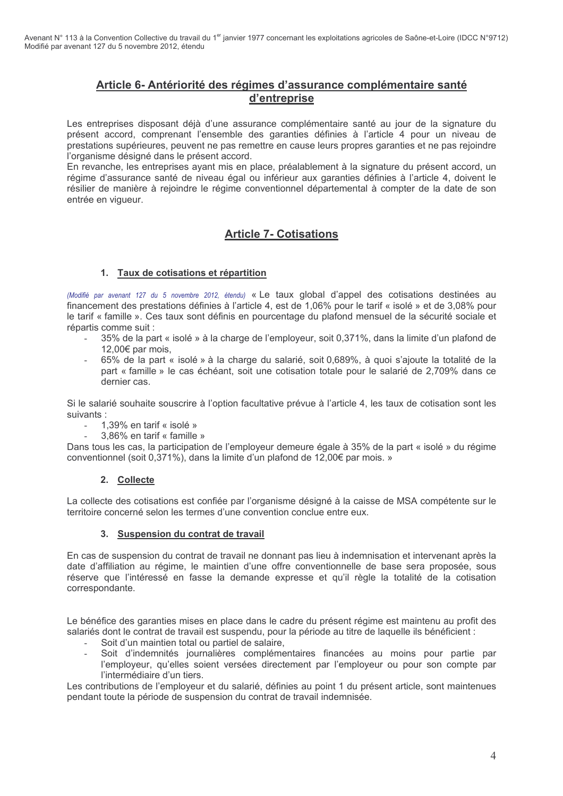### Article 6- Antériorité des régimes d'assurance complémentaire santé d'entreprise

Les entreprises disposant déjà d'une assurance complémentaire santé au jour de la signature du présent accord, comprenant l'ensemble des garanties définies à l'article 4 pour un niveau de prestations supérieures, peuvent ne pas remettre en cause leurs propres garanties et ne pas rejoindre l'organisme désigné dans le présent accord.

En revanche, les entreprises avant mis en place, préalablement à la signature du présent accord, un régime d'assurance santé de niveau égal ou inférieur aux garanties définies à l'article 4, doivent le résilier de manière à rejoindre le régime conventionnel départemental à compter de la date de son entrée en vigueur.

### **Article 7- Cotisations**

#### 1. Taux de cotisations et répartition

(Modifié par avenant 127 du 5 novembre 2012, étendu) « Le taux global d'appel des cotisations destinées au financement des prestations définies à l'article 4, est de 1,06% pour le tarif « isolé » et de 3,08% pour le tarif « famille ». Ces taux sont définis en pourcentage du plafond mensuel de la sécurité sociale et répartis comme suit :

- 35% de la part « isolé » à la charge de l'employeur, soit 0,371%, dans la limite d'un plafond de 12,00€ par mois,
- 65% de la part « isolé » à la charge du salarié, soit 0.689%, à quoi s'aioute la totalité de la part « famille » le cas échéant, soit une cotisation totale pour le salarié de 2,709% dans ce dernier cas.

Si le salarié souhaite souscrire à l'option facultative prévue à l'article 4, les taux de cotisation sont les suivants:

- 1.39% en tarif « isolé »
- 3.86% en tarif « famille »

Dans tous les cas, la participation de l'employeur demeure égale à 35% de la part « isolé » du régime conventionnel (soit 0,371%), dans la limite d'un plafond de 12,00€ par mois. »

#### 2. Collecte

La collecte des cotisations est confiée par l'organisme désigné à la caisse de MSA compétente sur le territoire concerné selon les termes d'une convention conclue entre eux.

#### 3. Suspension du contrat de travail

En cas de suspension du contrat de travail ne donnant pas lieu à indemnisation et intervenant après la date d'affiliation au régime, le maintien d'une offre conventionnelle de base sera proposée, sous réserve que l'intéressé en fasse la demande expresse et qu'il règle la totalité de la cotisation correspondante.

Le bénéfice des garanties mises en place dans le cadre du présent régime est maintenu au profit des salariés dont le contrat de travail est suspendu, pour la période au titre de laquelle ils bénéficient :

- Soit d'un maintien total ou partiel de salaire,
- Soit d'indemnités journalières complémentaires financées au moins pour partie par l'employeur, qu'elles soient versées directement par l'employeur ou pour son compte par l'intermédiaire d'un tiers.

Les contributions de l'employeur et du salarié, définies au point 1 du présent article, sont maintenues pendant toute la période de suspension du contrat de travail indemnisée.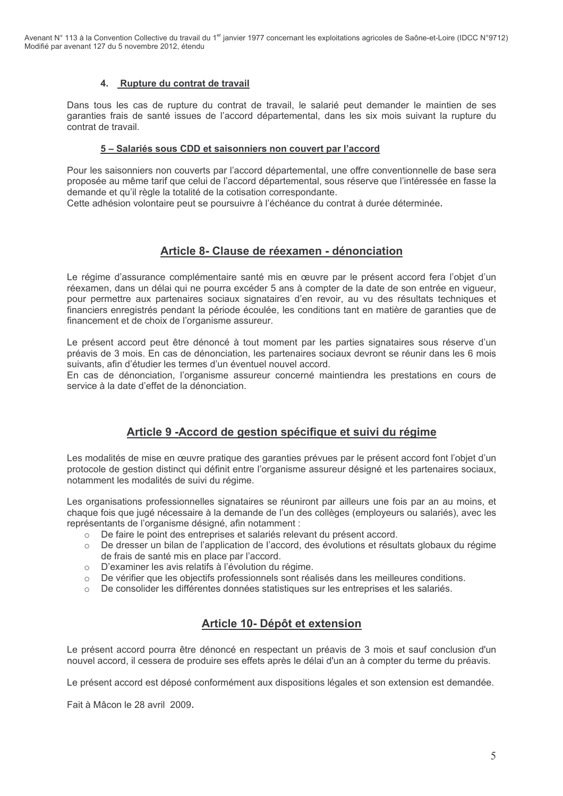Avenant N° 113 à la Convention Collective du travail du 1<sup>er</sup> janvier 1977 concernant les exploitations agricoles de Saône-et-Loire (IDCC N°9712) Modifié par avenant 127 du 5 novembre 2012, étendu

#### 4. Rupture du contrat de travail

Dans tous les cas de rupture du contrat de travail, le salarié peut demander le maintien de ses garanties frais de santé issues de l'accord départemental, dans les six mois suivant la rupture du contrat de travail.

#### 5 – Salariés sous CDD et saisonniers non couvert par l'accord

Pour les saisonniers non couverts par l'accord départemental, une offre conventionnelle de base sera proposée au même tarif que celui de l'accord départemental, sous réserve que l'intéressée en fasse la demande et qu'il règle la totalité de la cotisation correspondante.

Cette adhésion volontaire peut se poursuivre à l'échéance du contrat à durée déterminée.

### Article 8- Clause de réexamen - dénonciation

Le régime d'assurance complémentaire santé mis en œuvre par le présent accord fera l'objet d'un réexamen, dans un délai qui ne pourra excéder 5 ans à compter de la date de son entrée en viqueur, pour permettre aux partenaires sociaux signataires d'en revoir, au vu des résultats techniques et financiers enregistrés pendant la période écoulée, les conditions tant en matière de garanties que de financement et de choix de l'organisme assureur.

Le présent accord peut être dénoncé à tout moment par les parties signataires sous réserve d'un préavis de 3 mois. En cas de dénonciation, les partenaires sociaux devront se réunir dans les 6 mois suivants, afin d'étudier les termes d'un éventuel nouvel accord.

En cas de dénonciation, l'organisme assureur concerné maintiendra les prestations en cours de service à la date d'effet de la dénonciation.

### Article 9 - Accord de gestion spécifique et suivi du régime

Les modalités de mise en œuvre pratique des garanties prévues par le présent accord font l'objet d'un protocole de gestion distinct qui définit entre l'organisme assureur désigné et les partenaires sociaux, notamment les modalités de suivi du régime.

Les organisations professionnelles signataires se réuniront par ailleurs une fois par an au moins, et chaque fois que jugé nécessaire à la demande de l'un des collèges (employeurs ou salariés), avec les représentants de l'organisme désigné, afin notamment :

- De faire le point des entreprises et salariés relevant du présent accord.
- o De dresser un bilan de l'application de l'accord, des évolutions et résultats globaux du régime de frais de santé mis en place par l'accord.
- o D'examiner les avis relatifs à l'évolution du régime.
- o De vérifier que les objectifs professionnels sont réalisés dans les meilleures conditions.
- o De consolider les différentes données statistiques sur les entreprises et les salariés.

### Article 10- Dépôt et extension

Le présent accord pourra être dénoncé en respectant un préavis de 3 mois et sauf conclusion d'un nouvel accord, il cessera de produire ses effets après le délai d'un an à compter du terme du préavis.

Le présent accord est déposé conformément aux dispositions légales et son extension est demandée.

Fait à Mâcon le 28 avril 2009.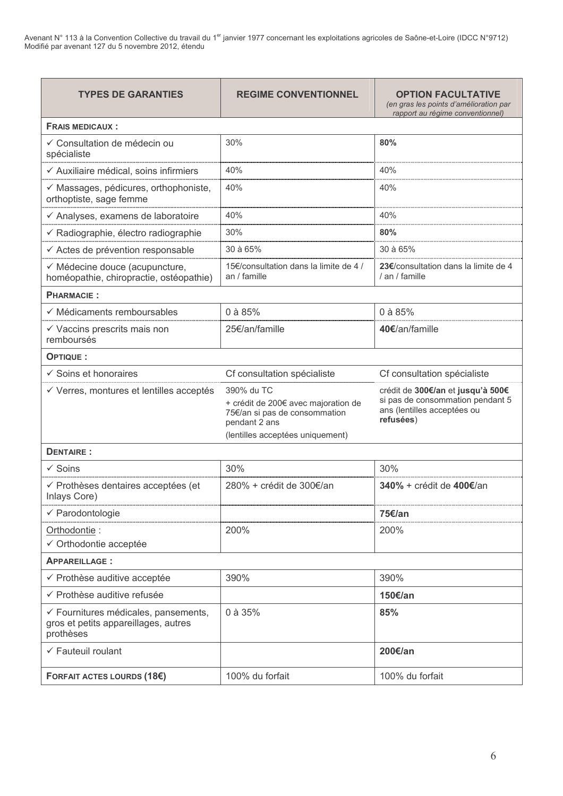Avenant N° 113 à la Convention Collective du travail du 1<sup>er</sup> janvier 1977 concernant les exploitations agricoles de Saône-et-Loire (IDCC N°9712)<br>Modifié par avenant 127 du 5 novembre 2012, étendu

| <b>TYPES DE GARANTIES</b>                                                                 | <b>REGIME CONVENTIONNEL</b>                                                                                                             | <b>OPTION FACULTATIVE</b><br>(en gras les points d'amélioration par<br>rapport au régime conventionnel)           |  |
|-------------------------------------------------------------------------------------------|-----------------------------------------------------------------------------------------------------------------------------------------|-------------------------------------------------------------------------------------------------------------------|--|
| <b>FRAIS MEDICAUX:</b>                                                                    |                                                                                                                                         |                                                                                                                   |  |
| ✓ Consultation de médecin ou<br>spécialiste                                               | 30%                                                                                                                                     | 80%                                                                                                               |  |
| ← Auxiliaire médical, soins infirmiers                                                    | 40%                                                                                                                                     | 40%                                                                                                               |  |
| √ Massages, pédicures, orthophoniste,<br>orthoptiste, sage femme                          | 40%                                                                                                                                     | 40%                                                                                                               |  |
| ← Analyses, examens de laboratoire                                                        | 40%                                                                                                                                     | 40%                                                                                                               |  |
| ← Radiographie, électro radiographie                                                      | 30%                                                                                                                                     | 80%                                                                                                               |  |
| ← Actes de prévention responsable                                                         | 30 à 65%                                                                                                                                | $30$ à 65%                                                                                                        |  |
| √ Médecine douce (acupuncture,<br>homéopathie, chiropractie, ostéopathie)                 | 15€/consultation dans la limite de 4 /<br>an / famille                                                                                  | 23€/consultation dans la limite de 4<br>/ an / famille                                                            |  |
| <b>PHARMACIE:</b>                                                                         |                                                                                                                                         |                                                                                                                   |  |
| $\checkmark$ Médicaments remboursables                                                    | 0 à 85%                                                                                                                                 | $0$ à 85%                                                                                                         |  |
| $\checkmark$ Vaccins prescrits mais non<br>remboursés                                     | 25€/an/famille                                                                                                                          | 40€/an/famille                                                                                                    |  |
| OPTIQUE :                                                                                 |                                                                                                                                         |                                                                                                                   |  |
| $\checkmark$ Soins et honoraires                                                          | Cf consultation spécialiste                                                                                                             | Cf consultation spécialiste                                                                                       |  |
| √ Verres, montures et lentilles acceptés                                                  | 390% du TC<br>+ crédit de 200€ avec majoration de<br>75€/an si pas de consommation<br>pendant 2 ans<br>(lentilles acceptées uniquement) | crédit de 300€/an et jusqu'à 500€<br>si pas de consommation pendant 5<br>ans (lentilles acceptées ou<br>refusées) |  |
| <b>DENTAIRE:</b>                                                                          |                                                                                                                                         |                                                                                                                   |  |
| $\checkmark$ Soins                                                                        | 30%                                                                                                                                     | 30%                                                                                                               |  |
| ← Prothèses dentaires acceptées (et<br>Inlays Core)                                       | 280% + crédit de 300€/an                                                                                                                | 340% + crédit de 400€/an                                                                                          |  |
| ← Parodontologie                                                                          |                                                                                                                                         | 75€/an                                                                                                            |  |
| Orthodontie:<br>✓ Orthodontie acceptée                                                    | 200%                                                                                                                                    | 200%                                                                                                              |  |
| <b>APPAREILLAGE:</b>                                                                      |                                                                                                                                         |                                                                                                                   |  |
| ← Prothèse auditive acceptée                                                              | 390%                                                                                                                                    | 390%                                                                                                              |  |
| ← Prothèse auditive refusée                                                               |                                                                                                                                         | 150€/an                                                                                                           |  |
| ← Fournitures médicales, pansements,<br>gros et petits appareillages, autres<br>prothèses | $0$ à 35%                                                                                                                               | 85%                                                                                                               |  |
| $\checkmark$ Fauteuil roulant                                                             |                                                                                                                                         | 200€/an                                                                                                           |  |
| <b>FORFAIT ACTES LOURDS (18€)</b>                                                         | 100% du forfait                                                                                                                         | 100% du forfait                                                                                                   |  |